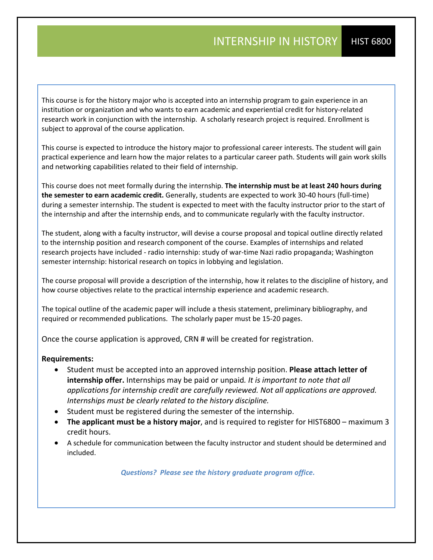This course is for the history major who is accepted into an internship program to gain experience in an institution or organization and who wants to earn academic and experiential credit for history‐related research work in conjunction with the internship. A scholarly research project is required. Enrollment is subject to approval of the course application.

This course is expected to introduce the history major to professional career interests. The student will gain practical experience and learn how the major relates to a particular career path. Students will gain work skills and networking capabilities related to their field of internship.

This course does not meet formally during the internship. **The internship must be at least 240 hours during the semester to earn academic credit.** Generally, students are expected to work 30‐40 hours (full‐time) during a semester internship. The student is expected to meet with the faculty instructor prior to the start of the internship and after the internship ends, and to communicate regularly with the faculty instructor.

The student, along with a faculty instructor, will devise a course proposal and topical outline directly related to the internship position and research component of the course. Examples of internships and related research projects have included - radio internship: study of war-time Nazi radio propaganda; Washington semester internship: historical research on topics in lobbying and legislation.

The course proposal will provide a description of the internship, how it relates to the discipline of history, and how course objectives relate to the practical internship experience and academic research.

The topical outline of the academic paper will include a thesis statement, preliminary bibliography, and required or recommended publications. The scholarly paper must be 15‐20 pages.

Once the course application is approved, CRN # will be created for registration.

## **Requirements:**

- Student must be accepted into an approved internship position. **Please attach letter of internship offer.** Internships may be paid or unpaid*. It is important to note that all applications for internship credit are carefully reviewed. Not all applications are approved. Internships must be clearly related to the history discipline.*
- Student must be registered during the semester of the internship.
- **The applicant must be a history major**, and is required to register for HIST6800 maximum 3 credit hours.
- A schedule for communication between the faculty instructor and student should be determined and included.

*Questions? Please see the history graduate program office.*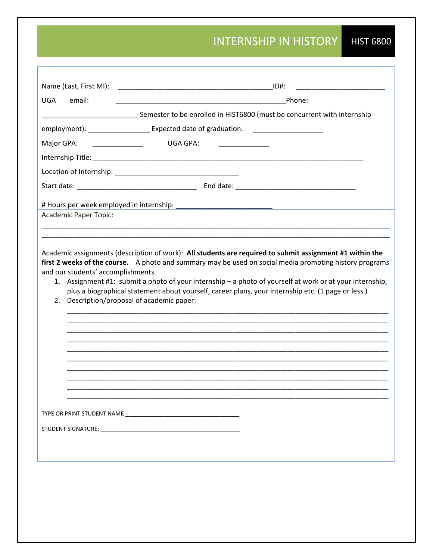## INTERNSHIP IN HISTORY HIST 6800

| Name (Last, First MI):             | ID#:<br><u> 1980 - Johann Barbara, martin basar basal da</u>                                                                                                                                                                                                                                                                                                                                                                                                                        |  |
|------------------------------------|-------------------------------------------------------------------------------------------------------------------------------------------------------------------------------------------------------------------------------------------------------------------------------------------------------------------------------------------------------------------------------------------------------------------------------------------------------------------------------------|--|
| email:<br><b>UGA</b>               | Phone:                                                                                                                                                                                                                                                                                                                                                                                                                                                                              |  |
|                                    | _______________________Semester to be enrolled in HIST6800 (must be concurrent with internship                                                                                                                                                                                                                                                                                                                                                                                      |  |
|                                    | employment): _______________________ Expected date of graduation: _______________                                                                                                                                                                                                                                                                                                                                                                                                   |  |
| Major GPA:                         | <b>UGA GPA:</b><br><u> 1990 - Johann Barnett, fransk politiker</u>                                                                                                                                                                                                                                                                                                                                                                                                                  |  |
|                                    |                                                                                                                                                                                                                                                                                                                                                                                                                                                                                     |  |
|                                    |                                                                                                                                                                                                                                                                                                                                                                                                                                                                                     |  |
|                                    |                                                                                                                                                                                                                                                                                                                                                                                                                                                                                     |  |
|                                    |                                                                                                                                                                                                                                                                                                                                                                                                                                                                                     |  |
| Academic Paper Topic:              |                                                                                                                                                                                                                                                                                                                                                                                                                                                                                     |  |
|                                    |                                                                                                                                                                                                                                                                                                                                                                                                                                                                                     |  |
| and our students' accomplishments. | Academic assignments (description of work): All students are required to submit assignment #1 within the<br>first 2 weeks of the course. A photo and summary may be used on social media promoting history programs<br>1. Assignment #1: submit a photo of your internship - a photo of yourself at work or at your internship,<br>plus a biographical statement about yourself, career plans, your internship etc. (1 page or less.)<br>2. Description/proposal of academic paper: |  |
|                                    |                                                                                                                                                                                                                                                                                                                                                                                                                                                                                     |  |
|                                    |                                                                                                                                                                                                                                                                                                                                                                                                                                                                                     |  |
|                                    |                                                                                                                                                                                                                                                                                                                                                                                                                                                                                     |  |
|                                    |                                                                                                                                                                                                                                                                                                                                                                                                                                                                                     |  |